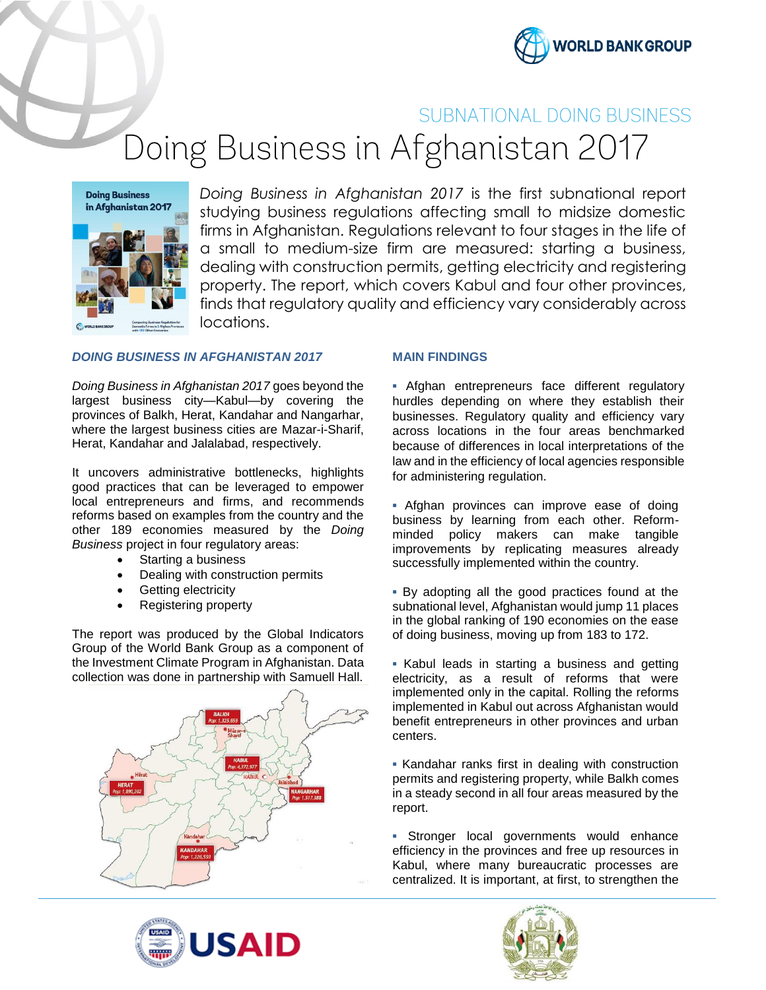

# SUBNATIONAL DOING BUSINESS

Doing Business in Afghanistan 2017

**Doing Business** in Afghanistan 2017

*Doing Business in Afghanistan 2017* is the first subnational report studying business regulations affecting small to midsize domestic firms in Afghanistan. Regulations relevant to four stages in the life of a small to medium-size firm are measured: starting a business, dealing with construction permits, getting electricity and registering property. The report, which covers Kabul and four other provinces, finds that regulatory quality and efficiency vary considerably across locations.

## *DOING BUSINESS IN AFGHANISTAN 2017*

*Doing Business in Afghanistan 2017* goes beyond the largest business city—Kabul—by covering the provinces of Balkh, Herat, Kandahar and Nangarhar, where the largest business cities are Mazar-i-Sharif, Herat, Kandahar and Jalalabad, respectively.

It uncovers administrative bottlenecks, highlights good practices that can be leveraged to empower local entrepreneurs and firms, and recommends reforms based on examples from the country and the other 189 economies measured by the *Doing Business* project in four regulatory areas:

- Starting a business
- Dealing with construction permits
- Getting electricity
- Registering property

The report was produced by the Global Indicators Group of the World Bank Group as a component of the Investment Climate Program in Afghanistan. Data collection was done in partnership with Samuell Hall.



#### **MAIN FINDINGS**

**▪** Afghan entrepreneurs face different regulatory hurdles depending on where they establish their businesses. Regulatory quality and efficiency vary across locations in the four areas benchmarked because of differences in local interpretations of the law and in the efficiency of local agencies responsible for administering regulation.

**▪** Afghan provinces can improve ease of doing business by learning from each other. Reformminded policy makers can make tangible improvements by replicating measures already successfully implemented within the country.

**▪** By adopting all the good practices found at the subnational level, Afghanistan would jump 11 places in the global ranking of 190 economies on the ease of doing business, moving up from 183 to 172.

**▪** Kabul leads in starting a business and getting electricity, as a result of reforms that were implemented only in the capital. Rolling the reforms implemented in Kabul out across Afghanistan would benefit entrepreneurs in other provinces and urban centers.

**▪** Kandahar ranks first in dealing with construction permits and registering property, while Balkh comes in a steady second in all four areas measured by the report.

**▪** Stronger local governments would enhance efficiency in the provinces and free up resources in Kabul, where many bureaucratic processes are centralized. It is important, at first, to strengthen the